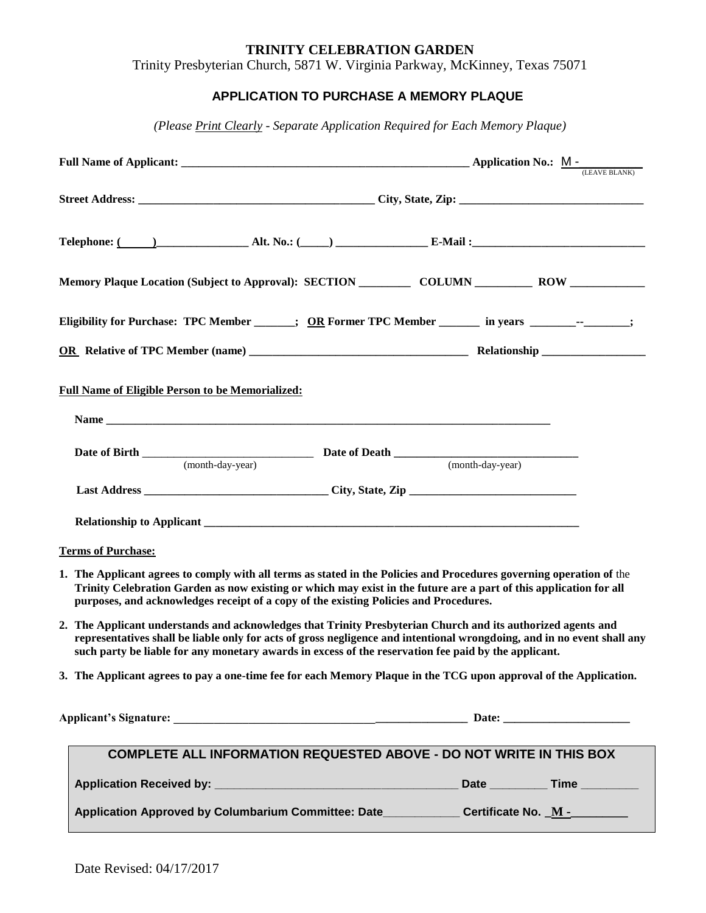#### **TRINITY CELEBRATION GARDEN**

Trinity Presbyterian Church, 5871 W. Virginia Parkway, McKinney, Texas 75071

## **APPLICATION TO PURCHASE A MEMORY PLAQUE**

*(Please Print Clearly - Separate Application Required for Each Memory Plaque)*

| Telephone: ( <u>2000)</u> 2000 2000 2011, Alt. No.: (2000) 2000 2000 2000 2012 2013 2014 2015 2016 2017 2018 2019 201                                                                                                                                                                                                                           |                  |
|-------------------------------------------------------------------------------------------------------------------------------------------------------------------------------------------------------------------------------------------------------------------------------------------------------------------------------------------------|------------------|
| Memory Plaque Location (Subject to Approval): SECTION ____________ COLUMN ____________ ROW ______________                                                                                                                                                                                                                                       |                  |
| Eligibility for Purchase: TPC Member ______; OR Former TPC Member ______ in years _______-- -_____;                                                                                                                                                                                                                                             |                  |
|                                                                                                                                                                                                                                                                                                                                                 |                  |
| <b>Full Name of Eligible Person to be Memorialized:</b>                                                                                                                                                                                                                                                                                         |                  |
| (month-day-year)                                                                                                                                                                                                                                                                                                                                | (month-day-year) |
|                                                                                                                                                                                                                                                                                                                                                 |                  |
|                                                                                                                                                                                                                                                                                                                                                 |                  |
| <b>Terms of Purchase:</b>                                                                                                                                                                                                                                                                                                                       |                  |
| 1. The Applicant agrees to comply with all terms as stated in the Policies and Procedures governing operation of the<br>Trinity Celebration Garden as now existing or which may exist in the future are a part of this application for all<br>purposes, and acknowledges receipt of a copy of the existing Policies and Procedures.             |                  |
| 2. The Applicant understands and acknowledges that Trinity Presbyterian Church and its authorized agents and<br>representatives shall be liable only for acts of gross negligence and intentional wrongdoing, and in no event shall any<br>such party be liable for any monetary awards in excess of the reservation fee paid by the applicant. |                  |
| 3. The Applicant agrees to pay a one-time fee for each Memory Plaque in the TCG upon approval of the Application.                                                                                                                                                                                                                               |                  |
|                                                                                                                                                                                                                                                                                                                                                 |                  |
| <b>COMPLETE ALL INFORMATION REQUESTED ABOVE - DO NOT WRITE IN THIS BOX</b>                                                                                                                                                                                                                                                                      |                  |
|                                                                                                                                                                                                                                                                                                                                                 |                  |
| Application Approved by Columbarium Committee: Date_____________Certificate No. M -________                                                                                                                                                                                                                                                     |                  |